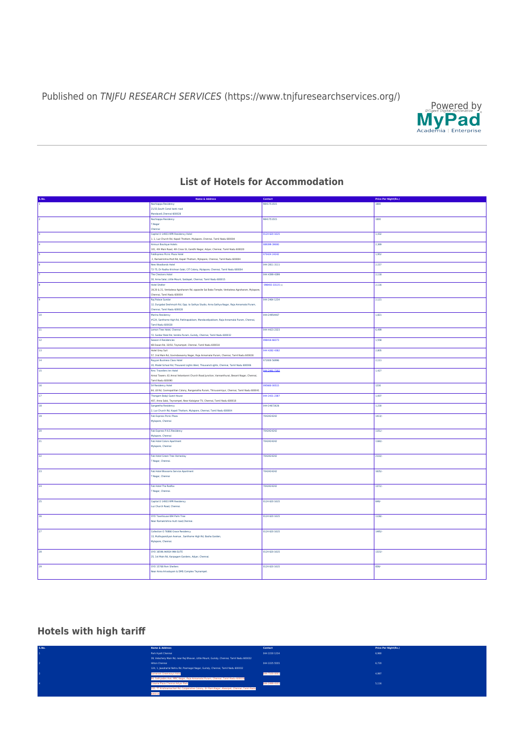Published on TNJFU RESEARCH SERVICES ([https://www.tnjfuresearchservices.org/](https://www.tnjfuresearchservices.org/node/))



## **S.No. Name & Address Contact Price Per Night(Rs.)** 1 Nachiappa Residency<br>21/33,South Canal bank road<br>21/33,South Canal bank road<br>22 Nachiappa Residency 9841751515 **2841751515** T.Nagar Capital 0 14933 RPR Residency Hotel<br>1.1, Luz Church Rd, Kapali Thottam, Mylapore, Chennal, Tamil Nadu 600004<br>1.1, Luz Church Rd, Kapali Thottam, Mylapore, Chennal, Tamil Nadu 600004<br>100, 401 Mac Rossel, 4th Cross St, Gandh 9841751515 **1800** 0124 620 1615 **1,432** 089399 39000 **2,369** 2,369 2,369 2,369 2,369 2,369 2,369 2,369 2,369 2,369 2,369 2,369 2,369 2,369 2,369 2,369 2,369 2,369 2,369 2,369 2,369 2,369 2,369 2,369 2,369 2,369 2,369 2,369 2,369 2,369 2,369 2,369 2,369 2,369 2,3 070424 24242 1,952 6 New Woodlands Hotel 72-75, Dr Radha Krishnan Salai, CIT Col<br>ha Chenlane Hatel 044 2811 3111 2,157 7 The Checkers Hotel 30, Anna Salai, Little Mount, Saidapet, Che<br>Hotel Shelter 044 4399 4399 2,118 8 Hotel Shelter and the control of the control of the control of the control of the control of the control of the control of the control of the control of the control of the control of the control of the control of the con 19,20 & 21, Venkatesa Agraharam Rd, op Chennai, Tamil Nadu 600004 [098403 33115](https://www.google.com/search?q=Hotel+Shelter&rlz=1C1CHBF_enIN913IN913&hotel_occupancy=2&ei=4hi8YbzSKvugseMP7aKZ8AE&ved=0ahUKEwi8y-SVhur0AhV7UGwGHW1RBh4Q4dUDCA4&uact=5&oq=Hotel+Shelter&gs_lcp=Cgdnd3Mtd2l6EAMyBQgAEIAEMgsILhCABBDHARCvATIFCAAQgAQyCwguEIAEEMcBEK8BMgsILhCABBDHARCvATIFCAAQgAQyBQgAEIAEMgsILhCABBDHARCvATILCC4QgAQQxwEQrwEyCwguEIAEEMcBEK8BSgQIQRgASgQIRhgAUABYAGCLCmgAcAJ4AIAB0QGIAdEBkgEDMi0xmAEAoAECoAEBwAEB&sclient=gws-wiz) [1] 2,116 9 Raj Palace Sundar nay ranaca Sanaan<br>12, Durgabai Deshmukh Rd, Opp. to Sathya Studio, Anna Sathya Nagar, Raja ennai, Tamil Nadu 600028 044 2464 1234 2.121 10 Marina Residency (Marina Residency of the Contract of the Contract of the Marina Residency of the Marina Residency #124, Santhome High Rd, Pattinapakkam, Mandavelipakkam, Raja Annamalai Puram, Chennai, mil Nadu 600028 044-24954467 **1,821** 11 Lemon Tree Hotel, Chennai 72, Sardar Patel Rd, Venkta Puram, Guindy, Chennai, Tamil Nadu 600032 12 Season 4 Residencies 044 4423 2323 **6,499 6,499** kan 4 nesaatnoos<br>Jasan Rd, 33/50, Teynampet, Che<br><mark>el Grey Suit</mark> 098416 66373 **1,558** 1,558 1,558 1,558 1,558 1,558 1,558 1,558 1,558 1,558 1,558 1,558 1,558 1,558 1,558 1,558 1,558 1,558 1,558 1,558 1,558 1,558 1,558 1,558 1,558 1,558 1,558 1,558 1,558 1,558 1,558 1,558 1,558 1,558 1,5 13 Hotel Grey Suit <sub>557</sub>, 2007, 2007, 2007, 2007, 2017, 2017, 2017, Puram, Tagar, Puram, Tamil Nadu<br>Burang, Chennai, Tamil Nadu 600028<br>Suram, Chennai, Tamil Nadu 600028 044 4282 4382 **2,805** 2,805 **2,805 2,805 2,805 2,805 2,805 2,805 2,805 2,805 2,805 2,805 2,805 2,805 2,805 2,805 2,805 2,805 2,805 2,805 2,805 2,805 2,805 2,805 2,805 2,805 2,805 2,805 2,805 2,805 2,805 2,805 2,805 2,805 2** Rayyan Business Class Hotel<br>20, Model School Rd, Thousand Lights West, Thousand Lights, Chennai, Tamil Nadu 600006 072000 56996 2,111 15 Rmc Travellers Inn Hotel<br>Annai Towers. 61 Annai Velankanni Church Road Junction, Vannanthurai, Besant Nagar, Chennai nil Nadu 600090 044 2491 7192 1,427 16 S4 Residency Hotel<br>64, BAL Cosmopolitian Colony, Ranganatha Puram, Thiruvanmiyur, Chennai, Tamil Nadu 600041<br>17 Thangam Balaji Guest House 095660 00515 **1230** 407, Anna Salai, Teynampet, Near Kalaignar TV, Chennai, Tamil Nadu 600018 18 Sangeetha Residency 044 2431 2387 **1,007** 1,007 .<br>2, Luz Church Rd, Kapali Thottam, Mylap 044-24672626 1,230 19 Fab Express Picnic Plaza Mylapore, Chennai 7042424242**42** 1413/ 20 Fabress P.A.S Resident Mylapore, Chennai 21 Fab Hotel Colors Apartment Mylapore, Chennai 7042424242 **1151/** 7042424242 1160/- 22 Fab Hotel Green Tree Homestay T Nagar, Chennai. 7042424242 2110/- 23 Fab Hotel Blossoms Service Apartment T Nagar, Chennai 7042424242 1635/- 24 Fab Hotel The Redfox T Nagar, Chennai. 7042424242 1372/ en<br>25 Capital O 14933 RPR Res .<br>uz Church Road, Chennai. 0124 620 1615 849/- 26 OYO Townhouse 694 Palm Tree ear Ramakrishna mutt road,Chennai. 0124 620 1615 **1138/**tion O 76866 Grace Residency 13, Muthupandiyan Avenue , Santhome High Rd, Basha Garden, Mylapore, Chennai. 0124 620 1615 **1495/-**28 OYO 16596 AKASH INN ELITE 25, 1st Main Rd, Karpagam Gardens, Adyar, Chennai. 0124 620 1615 **1315/**-OYO 15768 Rsm Shelters<br>Near Anna Arivalayam & DMS Complex Teynampet 0124 620 1615 859/-

## **List of Hotels for Accommodation**

## **Hotels with high tariff**